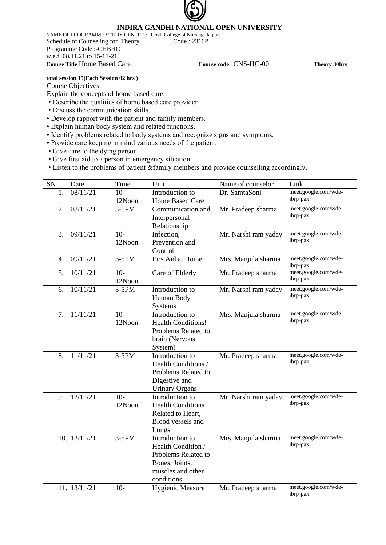# **INDIRA GANDHI NATIONAL OPEN UNIVERSITY**

NAME OF PROGRAMME STUDY CENTRE : Govt. College of Nursing, Jaipur Schedule of Counseling for Theory Code : 2316P Programme Code :-CHBHC w.e.f. 08.11.21 to 15-11-21 **Course Title** Home Based Care **Course code** CNS-HC-00l **Theory 30hrs**

## **total session 15(Each Session 02 hrs )** Course Objectives

Explain the concepts of home based care.

- Describe the qualities of home based care provider
- Discuss the communication skills.
- Develop rapport with the patient and family members.
- Explain human body system and related functions.
- Identify problems related to body systems and recognize signs and symptoms.
- Provide care keeping in mind various needs of the patient.
- Give care to the dying person
- Give first aid to a person in emergency situation.
- Listen to the problems of patient &family members and provide counselling accordingly.

| SN  | Date         | Time            | Unit                                                                                                              | Name of counselor    | Link                             |
|-----|--------------|-----------------|-------------------------------------------------------------------------------------------------------------------|----------------------|----------------------------------|
| 1.  | 08/11/21     | $10-$<br>12Noon | Introduction to<br>Home Based Care                                                                                | Dr. SamtaSoni        | meet.google.com/wde-<br>ibrp-pax |
| 2.  | 08/11/21     | $3-5PM$         | Communication and<br>Interpersonal<br>Relationship                                                                | Mr. Pradeep sharma   | meet.google.com/wde-<br>ibrp-pax |
| 3.  | 09/11/21     | $10-$<br>12Noon | Infection,<br>Prevention and<br>Control                                                                           | Mr. Narshi ram yadav | meet.google.com/wde-<br>ibrp-pax |
| 4.  | 09/11/21     | $3-5PM$         | FirstAid at Home                                                                                                  | Mrs. Manjula sharma  | meet.google.com/wde-<br>ibrp-pax |
| 5.  | 10/11/21     | $10-$<br>12Noon | Care of Elderly                                                                                                   | Mr. Pradeep sharma   | meet.google.com/wde-<br>ibrp-pax |
| 6.  | 10/11/21     | $3-5PM$         | Introduction to<br>Human Body<br><b>Systems</b>                                                                   | Mr. Narshi ram yadav | meet.google.com/wde-<br>ibrp-pax |
| 7.  | 11/11/21     | $10-$<br>12Noon | Introduction to<br><b>Health Conditions!</b><br>Problems Related to<br>brain (Nervous<br>System)                  | Mrs. Manjula sharma  | meet.google.com/wde-<br>ibrp-pax |
| 8.  | 11/11/21     | $3-5PM$         | Introduction to<br>Health Conditions /<br>Problems Related to<br>Digestive and<br><b>Urinary Organs</b>           | Mr. Pradeep sharma   | meet.google.com/wde-<br>ibrp-pax |
| 9.  | 12/11/21     | $10-$<br>12Noon | Introduction to<br><b>Health Conditions</b><br>Related to Heart,<br>Blood vessels and<br>Lungs                    | Mr. Narshi ram yadav | meet.google.com/wde-<br>ibrp-pax |
|     | 10. 12/11/21 | $3-5PM$         | Introduction to<br>Health Condition /<br>Problems Related to<br>Bones, Joints,<br>muscles and other<br>conditions | Mrs. Manjula sharma  | meet.google.com/wde-<br>ibrp-pax |
| 11. | 13/11/21     | $10-$           | <b>Hygienic Measure</b>                                                                                           | Mr. Pradeep sharma   | meet.google.com/wde-<br>ibrp-pax |